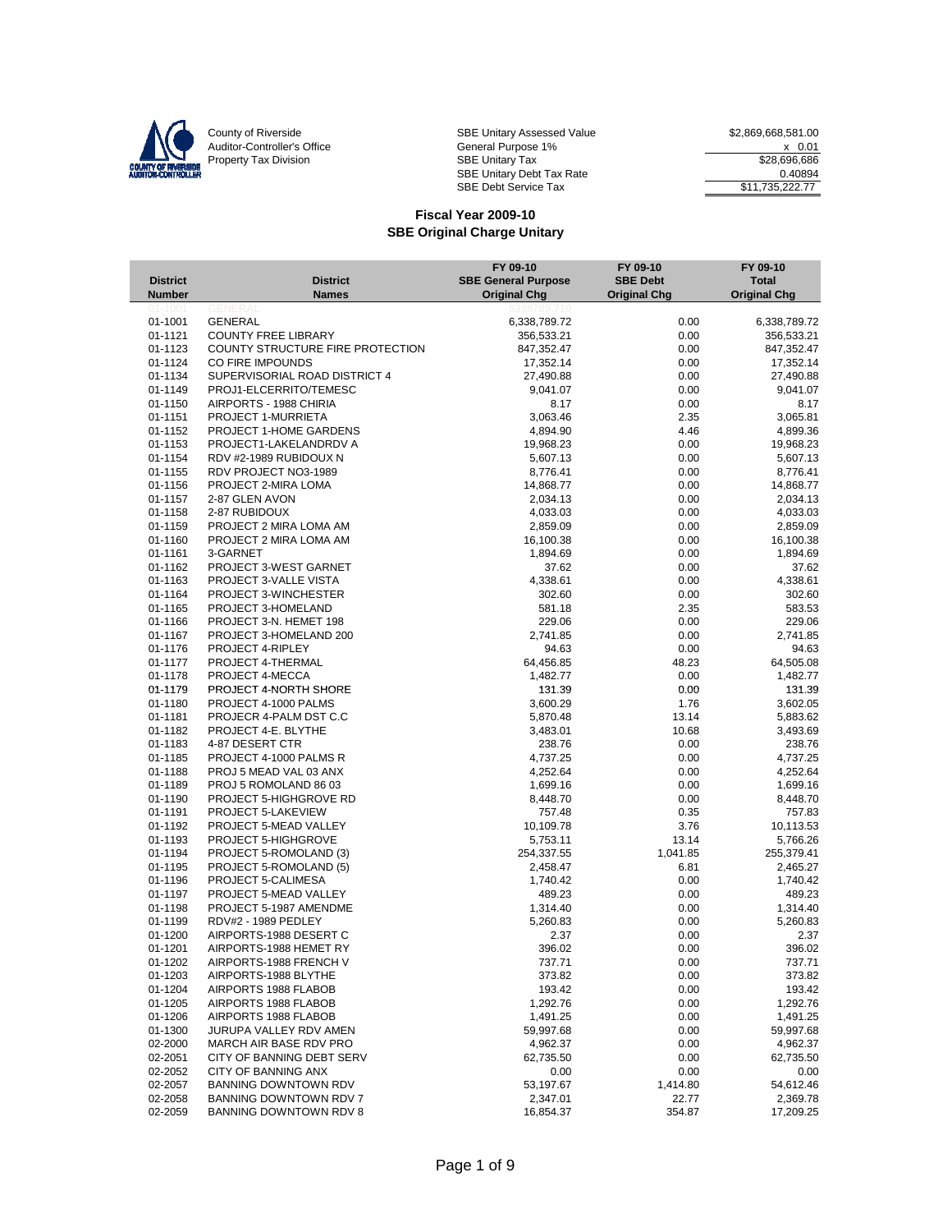

County of Riverside **SBE Unitary Assessed Value** \$2,869,668,581.00 Auditor-Controller's Office **General Purpose 1%** X 0.01 Property Tax Division Number of SBE Unitary Tax Number of SBE Unitary Tax Number 28,696,686 SBE Unitary Debt Tax Rate 0.40894 SBE Debt Service Tax  $$11,735,222.77$ 

|                 |                                  | FY 09-10                   | FY 09-10            | FY 09-10            |
|-----------------|----------------------------------|----------------------------|---------------------|---------------------|
| <b>District</b> | <b>District</b>                  | <b>SBE General Purpose</b> | <b>SBE Debt</b>     | <b>Total</b>        |
| <b>Number</b>   | <b>Names</b>                     | <b>Original Chg</b>        | <b>Original Chg</b> | <b>Original Chg</b> |
| 01-1001         | GENERAL                          |                            |                     |                     |
| 01-1001         | <b>GENERAL</b>                   | 6,338,789.72               | 0.00                | 6,338,789.72        |
| 01-1121         | <b>COUNTY FREE LIBRARY</b>       | 356,533.21                 | 0.00                | 356,533.21          |
| 01-1123         | COUNTY STRUCTURE FIRE PROTECTION | 847,352.47                 | 0.00                | 847,352.47          |
| 01-1124         | CO FIRE IMPOUNDS                 | 17,352.14                  | 0.00                | 17,352.14           |
| 01-1134         | SUPERVISORIAL ROAD DISTRICT 4    | 27,490.88                  | 0.00                | 27,490.88           |
| 01-1149         | PROJ1-ELCERRITO/TEMESC           | 9,041.07                   | 0.00                | 9,041.07            |
| 01-1150         | AIRPORTS - 1988 CHIRIA           | 8.17                       | 0.00                | 8.17                |
| 01-1151         | PROJECT 1-MURRIETA               | 3,063.46                   | 2.35                | 3,065.81            |
| 01-1152         | PROJECT 1-HOME GARDENS           | 4,894.90                   | 4.46                | 4,899.36            |
| 01-1153         | PROJECT1-LAKELANDRDV A           | 19,968.23                  | 0.00                | 19,968.23           |
| 01-1154         | RDV #2-1989 RUBIDOUX N           | 5,607.13                   | 0.00                | 5,607.13            |
| 01-1155         | RDV PROJECT NO3-1989             | 8,776.41                   | 0.00                | 8,776.41            |
| 01-1156         | PROJECT 2-MIRA LOMA              | 14,868.77                  | 0.00                | 14,868.77           |
| 01-1157         | 2-87 GLEN AVON                   | 2,034.13                   | 0.00                | 2,034.13            |
| 01-1158         | 2-87 RUBIDOUX                    | 4,033.03                   | 0.00                | 4,033.03            |
| 01-1159         | PROJECT 2 MIRA LOMA AM           | 2,859.09                   | 0.00                | 2,859.09            |
| 01-1160         | PROJECT 2 MIRA LOMA AM           | 16,100.38                  | 0.00                | 16,100.38           |
| 01-1161         | 3-GARNET                         | 1,894.69                   | 0.00                | 1,894.69            |
| 01-1162         | PROJECT 3-WEST GARNET            | 37.62                      | 0.00                | 37.62               |
| 01-1163         | PROJECT 3-VALLE VISTA            | 4,338.61                   | 0.00                | 4,338.61            |
| 01-1164         | PROJECT 3-WINCHESTER             | 302.60                     | 0.00                | 302.60              |
| 01-1165         | PROJECT 3-HOMELAND               | 581.18                     | 2.35                | 583.53              |
| 01-1166         | PROJECT 3-N. HEMET 198           | 229.06                     | 0.00                | 229.06              |
| 01-1167         | PROJECT 3-HOMELAND 200           | 2,741.85                   | 0.00                | 2,741.85            |
| 01-1176         | PROJECT 4-RIPLEY                 | 94.63                      | 0.00                | 94.63               |
| 01-1177         | PROJECT 4-THERMAL                | 64,456.85                  | 48.23               | 64,505.08           |
| 01-1178         | PROJECT 4-MECCA                  | 1,482.77                   | 0.00                | 1,482.77            |
| 01-1179         | PROJECT 4-NORTH SHORE            | 131.39                     | 0.00                | 131.39              |
| 01-1180         | PROJECT 4-1000 PALMS             | 3,600.29                   | 1.76                | 3,602.05            |
| 01-1181         | PROJECR 4-PALM DST C.C           | 5,870.48                   | 13.14               | 5,883.62            |
| 01-1182         | PROJECT 4-E. BLYTHE              | 3,483.01                   | 10.68               | 3,493.69            |
| 01-1183         | 4-87 DESERT CTR                  | 238.76                     | 0.00                | 238.76              |
| 01-1185         | PROJECT 4-1000 PALMS R           | 4,737.25                   | 0.00                | 4,737.25            |
| 01-1188         | PROJ 5 MEAD VAL 03 ANX           | 4,252.64                   | 0.00                | 4,252.64            |
| 01-1189         | PROJ 5 ROMOLAND 86 03            | 1,699.16                   | 0.00                | 1,699.16            |
| 01-1190         | PROJECT 5-HIGHGROVE RD           | 8,448.70                   | 0.00                | 8,448.70            |
| 01-1191         | PROJECT 5-LAKEVIEW               | 757.48                     | 0.35                | 757.83              |
| 01-1192         | PROJECT 5-MEAD VALLEY            | 10,109.78                  | 3.76                | 10,113.53           |
| 01-1193         | PROJECT 5-HIGHGROVE              | 5,753.11                   | 13.14               | 5,766.26            |
| 01-1194         | PROJECT 5-ROMOLAND (3)           | 254,337.55                 | 1,041.85            | 255,379.41          |
| 01-1195         | PROJECT 5-ROMOLAND (5)           | 2,458.47                   | 6.81                | 2,465.27            |
| 01-1196         | PROJECT 5-CALIMESA               | 1,740.42                   | 0.00                | 1,740.42            |
| 01-1197         | PROJECT 5-MEAD VALLEY            | 489.23                     | 0.00                | 489.23              |
| 01-1198         | PROJECT 5-1987 AMENDME           | 1,314.40                   | 0.00                | 1,314.40            |
| 01-1199         | RDV#2 - 1989 PEDLEY              | 5,260.83                   | 0.00                | 5,260.83            |
| 01-1200         | AIRPORTS-1988 DESERT C           | 2.37                       | 0.00                | 2.37                |
| 01-1201         | AIRPORTS-1988 HEMET RY           | 396.02                     | 0.00                | 396.02              |
| 01-1202         | AIRPORTS-1988 FRENCH V           | 737.71                     | 0.00                | 737.71              |
| 01-1203         | AIRPORTS-1988 BLYTHE             | 373.82                     | 0.00                | 373.82              |
| 01-1204         | AIRPORTS 1988 FLABOB             | 193.42                     | 0.00                | 193.42              |
| 01-1205         | AIRPORTS 1988 FLABOB             | 1,292.76                   | 0.00                | 1,292.76            |
| 01-1206         | AIRPORTS 1988 FLABOB             | 1,491.25                   | 0.00                | 1,491.25            |
| 01-1300         | JURUPA VALLEY RDV AMEN           | 59,997.68                  | 0.00                | 59,997.68           |
| 02-2000         | MARCH AIR BASE RDV PRO           | 4,962.37                   | 0.00                | 4,962.37            |
| 02-2051         | CITY OF BANNING DEBT SERV        | 62,735.50                  | 0.00                | 62,735.50           |
| 02-2052         | CITY OF BANNING ANX              | 0.00                       | 0.00                | 0.00                |
| 02-2057         | <b>BANNING DOWNTOWN RDV</b>      | 53,197.67                  | 1,414.80            | 54,612.46           |
| 02-2058         | BANNING DOWNTOWN RDV 7           | 2,347.01                   | 22.77               | 2,369.78            |
| 02-2059         | BANNING DOWNTOWN RDV 8           | 16,854.37                  | 354.87              | 17,209.25           |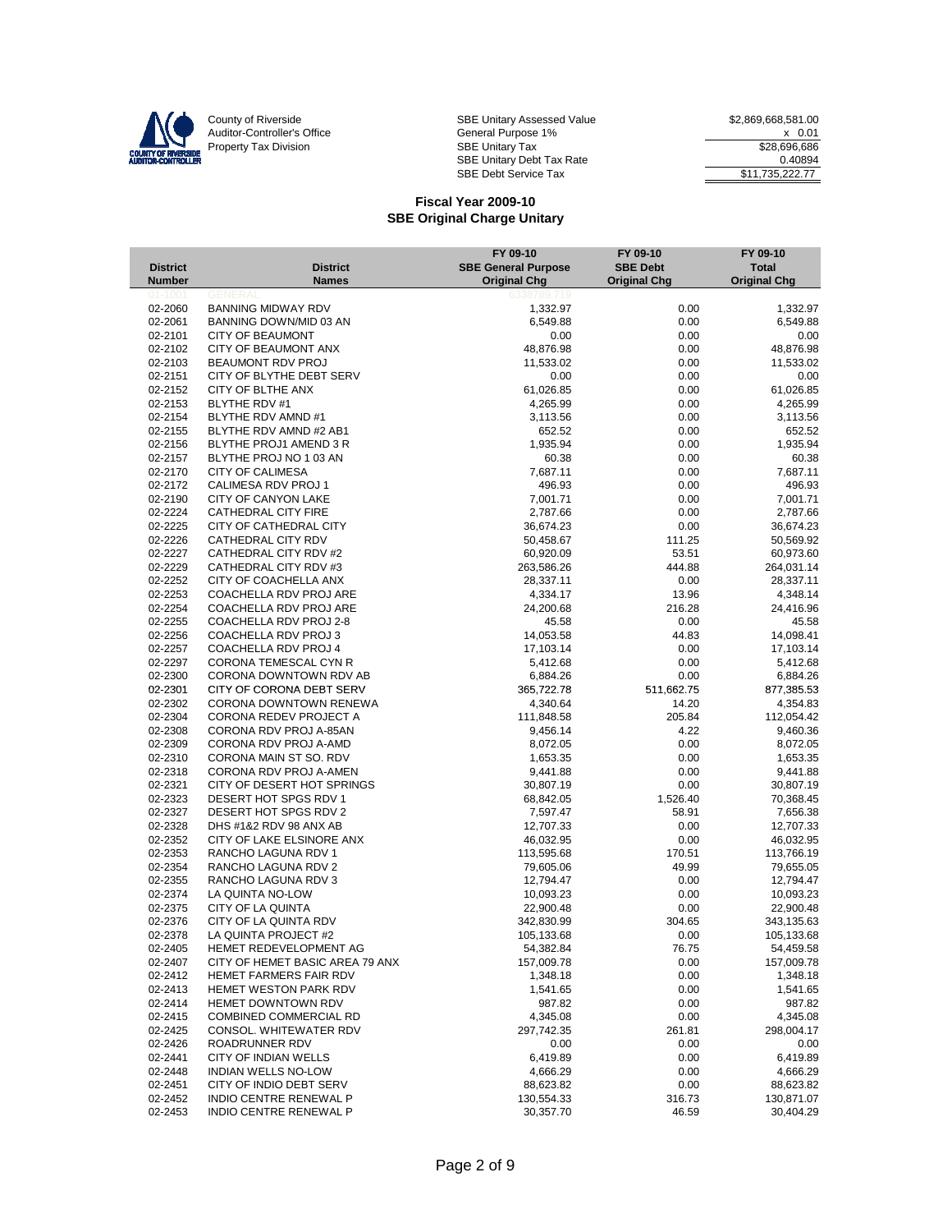

|                    |                                               | FY 09-10                   | FY 09-10            | FY 09-10             |
|--------------------|-----------------------------------------------|----------------------------|---------------------|----------------------|
| <b>District</b>    | <b>District</b>                               | <b>SBE General Purpose</b> | <b>SBE Debt</b>     | <b>Total</b>         |
| <b>Number</b>      | <b>Names</b>                                  | <b>Original Chg</b>        | <b>Original Chg</b> | <b>Original Chg</b>  |
| 01-100             |                                               |                            |                     |                      |
| 02-2060            | <b>BANNING MIDWAY RDV</b>                     | 1,332.97                   | 0.00                | 1,332.97             |
| 02-2061            | BANNING DOWN/MID 03 AN                        | 6,549.88                   | 0.00                | 6,549.88             |
| 02-2101            | <b>CITY OF BEAUMONT</b>                       | 0.00                       | 0.00                | 0.00<br>48,876.98    |
| 02-2102<br>02-2103 | CITY OF BEAUMONT ANX<br>BEAUMONT RDV PROJ     | 48,876.98<br>11,533.02     | 0.00<br>0.00        | 11,533.02            |
|                    |                                               |                            |                     |                      |
| 02-2151<br>02-2152 | CITY OF BLYTHE DEBT SERV<br>CITY OF BLTHE ANX | 0.00                       | 0.00<br>0.00        | 0.00                 |
| 02-2153            | BLYTHE RDV #1                                 | 61,026.85                  |                     | 61,026.85            |
| 02-2154            | BLYTHE RDV AMND #1                            | 4,265.99<br>3,113.56       | 0.00<br>0.00        | 4,265.99<br>3,113.56 |
| 02-2155            | BLYTHE RDV AMND #2 AB1                        | 652.52                     | 0.00                | 652.52               |
| 02-2156            | BLYTHE PROJ1 AMEND 3 R                        | 1,935.94                   | 0.00                | 1,935.94             |
| 02-2157            | BLYTHE PROJ NO 1 03 AN                        | 60.38                      | 0.00                | 60.38                |
| 02-2170            | <b>CITY OF CALIMESA</b>                       | 7,687.11                   | 0.00                | 7,687.11             |
| 02-2172            | CALIMESA RDV PROJ 1                           | 496.93                     | 0.00                | 496.93               |
| 02-2190            | CITY OF CANYON LAKE                           | 7,001.71                   | 0.00                | 7,001.71             |
| 02-2224            | CATHEDRAL CITY FIRE                           | 2,787.66                   | 0.00                | 2,787.66             |
| 02-2225            | CITY OF CATHEDRAL CITY                        | 36,674.23                  | 0.00                | 36,674.23            |
| 02-2226            | CATHEDRAL CITY RDV                            | 50,458.67                  | 111.25              | 50,569.92            |
| 02-2227            | CATHEDRAL CITY RDV #2                         | 60,920.09                  | 53.51               | 60,973.60            |
| 02-2229            | CATHEDRAL CITY RDV #3                         | 263,586.26                 | 444.88              | 264,031.14           |
| 02-2252            | CITY OF COACHELLA ANX                         | 28,337.11                  | 0.00                | 28,337.11            |
| 02-2253            | COACHELLA RDV PROJ ARE                        | 4,334.17                   | 13.96               | 4,348.14             |
| 02-2254            | COACHELLA RDV PROJ ARE                        | 24,200.68                  | 216.28              | 24,416.96            |
| 02-2255            | COACHELLA RDV PROJ 2-8                        | 45.58                      | 0.00                | 45.58                |
| 02-2256            | COACHELLA RDV PROJ 3                          | 14,053.58                  | 44.83               | 14,098.41            |
| 02-2257            | COACHELLA RDV PROJ 4                          | 17,103.14                  | 0.00                | 17,103.14            |
| 02-2297            | CORONA TEMESCAL CYN R                         | 5,412.68                   | 0.00                | 5,412.68             |
| 02-2300            | CORONA DOWNTOWN RDV AB                        | 6,884.26                   | 0.00                | 6,884.26             |
| 02-2301            | CITY OF CORONA DEBT SERV                      | 365,722.78                 | 511,662.75          | 877,385.53           |
| 02-2302            | CORONA DOWNTOWN RENEWA                        | 4,340.64                   | 14.20               | 4,354.83             |
| 02-2304            | CORONA REDEV PROJECT A                        | 111,848.58                 | 205.84              | 112,054.42           |
| 02-2308            | CORONA RDV PROJ A-85AN                        | 9,456.14                   | 4.22                | 9,460.36             |
| 02-2309            | CORONA RDV PROJ A-AMD                         | 8,072.05                   | 0.00                | 8,072.05             |
| 02-2310            | CORONA MAIN ST SO. RDV                        | 1,653.35                   | 0.00                | 1,653.35             |
| 02-2318            | CORONA RDV PROJ A-AMEN                        | 9,441.88                   | 0.00                | 9,441.88             |
| 02-2321            | CITY OF DESERT HOT SPRINGS                    | 30,807.19                  | 0.00                | 30,807.19            |
| 02-2323            | DESERT HOT SPGS RDV 1                         | 68,842.05                  | 1,526.40            | 70,368.45            |
| 02-2327            | DESERT HOT SPGS RDV 2                         | 7,597.47                   | 58.91               | 7,656.38             |
| 02-2328            | DHS #1&2 RDV 98 ANX AB                        | 12,707.33                  | 0.00                | 12,707.33            |
| 02-2352            | CITY OF LAKE ELSINORE ANX                     | 46,032.95                  | 0.00                | 46,032.95            |
| 02-2353            | RANCHO LAGUNA RDV 1                           | 113,595.68                 | 170.51              | 113,766.19           |
| 02-2354            | RANCHO LAGUNA RDV 2                           | 79,605.06                  | 49.99               | 79,655.05            |
| 02-2355            | RANCHO LAGUNA RDV 3                           | 12,794.47                  | 0.00                | 12,794.47            |
| 02-2374            | LA QUINTA NO-LOW                              | 10,093.23                  | 0.00                | 10,093.23            |
| 02-2375            | CITY OF LA QUINTA                             | 22,900.48                  | 0.00                | 22,900.48            |
| 02-2376            | CITY OF LA QUINTA RDV                         | 342,830.99                 | 304.65              | 343,135.63           |
| 02-2378            | LA QUINTA PROJECT #2                          | 105,133.68                 | 0.00                | 105,133.68           |
| 02-2405            | HEMET REDEVELOPMENT AG                        | 54,382.84                  | 76.75               | 54,459.58            |
| 02-2407            | CITY OF HEMET BASIC AREA 79 ANX               | 157,009.78                 | 0.00                | 157,009.78           |
| 02-2412            | HEMET FARMERS FAIR RDV                        | 1,348.18                   | 0.00                | 1,348.18             |
| 02-2413            | HEMET WESTON PARK RDV                         | 1,541.65                   | 0.00                | 1,541.65             |
| 02-2414            | HEMET DOWNTOWN RDV                            | 987.82                     | 0.00                | 987.82               |
| 02-2415            | <b>COMBINED COMMERCIAL RD</b>                 | 4,345.08                   | 0.00                | 4,345.08             |
| 02-2425            | CONSOL. WHITEWATER RDV                        | 297,742.35                 | 261.81              | 298,004.17           |
| 02-2426            | ROADRUNNER RDV                                | 0.00                       | 0.00                | 0.00                 |
| 02-2441            | <b>CITY OF INDIAN WELLS</b>                   | 6,419.89                   | 0.00                | 6,419.89             |
| 02-2448            | INDIAN WELLS NO-LOW                           | 4,666.29                   | 0.00                | 4,666.29             |
| 02-2451            | CITY OF INDIO DEBT SERV                       | 88,623.82                  | 0.00                | 88,623.82            |
| 02-2452            | INDIO CENTRE RENEWAL P                        | 130,554.33                 | 316.73              | 130,871.07           |
| 02-2453            | INDIO CENTRE RENEWAL P                        | 30,357.70                  | 46.59               | 30,404.29            |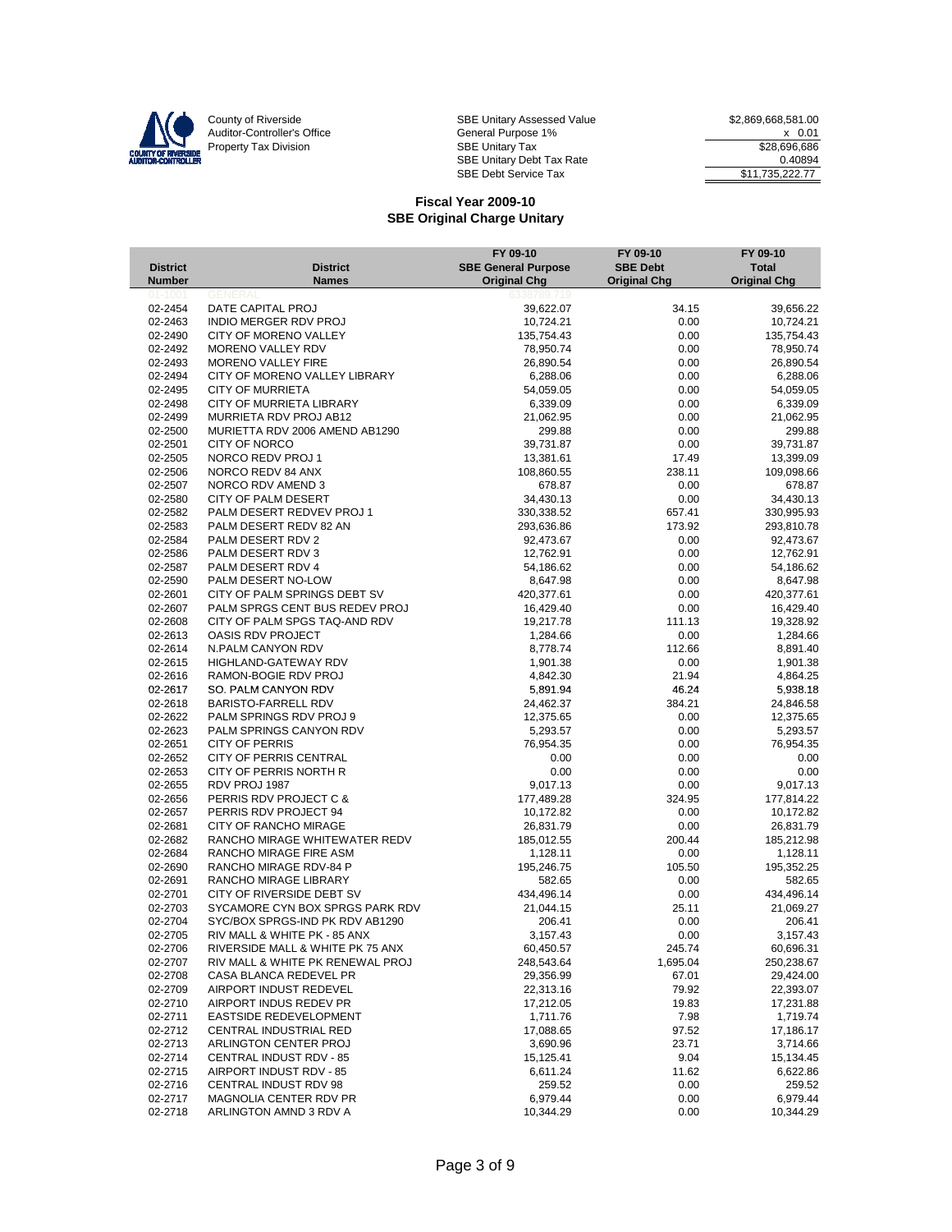

|                        |                                                              | FY 09-10                   | FY 09-10            | FY 09-10               |
|------------------------|--------------------------------------------------------------|----------------------------|---------------------|------------------------|
| <b>District</b>        | <b>District</b>                                              | <b>SBE General Purpose</b> | <b>SBE Debt</b>     | <b>Total</b>           |
| <b>Number</b>          | <b>Names</b>                                                 | <b>Original Chg</b>        | <b>Original Chg</b> | <b>Original Chg</b>    |
| $01 - 1001$<br>02-2454 | <b>GENERAL</b><br>DATE CAPITAL PROJ                          | 6338789.719<br>39,622.07   | 34.15               | 39,656.22              |
| 02-2463                | INDIO MERGER RDV PROJ                                        | 10,724.21                  | 0.00                | 10,724.21              |
| 02-2490                | CITY OF MORENO VALLEY                                        | 135,754.43                 | 0.00                | 135,754.43             |
| 02-2492                | MORENO VALLEY RDV                                            | 78,950.74                  | 0.00                | 78,950.74              |
| 02-2493                | <b>MORENO VALLEY FIRE</b>                                    | 26,890.54                  | 0.00                | 26,890.54              |
| 02-2494                | CITY OF MORENO VALLEY LIBRARY                                | 6,288.06                   | 0.00                | 6,288.06               |
| 02-2495                | <b>CITY OF MURRIETA</b>                                      | 54,059.05                  | 0.00                | 54,059.05              |
| 02-2498                | <b>CITY OF MURRIETA LIBRARY</b>                              | 6,339.09                   | 0.00                | 6,339.09               |
| 02-2499                | MURRIETA RDV PROJ AB12                                       | 21,062.95                  | 0.00                | 21,062.95              |
| 02-2500                | MURIETTA RDV 2006 AMEND AB1290                               | 299.88                     | 0.00                | 299.88                 |
| 02-2501                | <b>CITY OF NORCO</b>                                         | 39,731.87                  | 0.00                | 39,731.87              |
| 02-2505                | NORCO REDV PROJ 1                                            | 13,381.61                  | 17.49               | 13,399.09              |
| 02-2506                | NORCO REDV 84 ANX                                            | 108,860.55                 | 238.11              | 109,098.66             |
| 02-2507<br>02-2580     | NORCO RDV AMEND 3<br><b>CITY OF PALM DESERT</b>              | 678.87<br>34,430.13        | 0.00<br>0.00        | 678.87<br>34,430.13    |
| 02-2582                | PALM DESERT REDVEV PROJ 1                                    | 330,338.52                 | 657.41              | 330,995.93             |
| 02-2583                | PALM DESERT REDV 82 AN                                       | 293,636.86                 | 173.92              | 293,810.78             |
| 02-2584                | PALM DESERT RDV 2                                            | 92,473.67                  | 0.00                | 92,473.67              |
| 02-2586                | PALM DESERT RDV 3                                            | 12,762.91                  | 0.00                | 12,762.91              |
| 02-2587                | PALM DESERT RDV 4                                            | 54,186.62                  | 0.00                | 54,186.62              |
| 02-2590                | PALM DESERT NO-LOW                                           | 8,647.98                   | 0.00                | 8,647.98               |
| 02-2601                | CITY OF PALM SPRINGS DEBT SV                                 | 420,377.61                 | 0.00                | 420,377.61             |
| 02-2607                | PALM SPRGS CENT BUS REDEV PROJ                               | 16,429.40                  | 0.00                | 16,429.40              |
| 02-2608                | CITY OF PALM SPGS TAQ-AND RDV                                | 19,217.78                  | 111.13              | 19,328.92              |
| 02-2613                | OASIS RDV PROJECT                                            | 1,284.66                   | 0.00                | 1,284.66               |
| 02-2614                | N.PALM CANYON RDV                                            | 8,778.74                   | 112.66              | 8,891.40               |
| 02-2615                | HIGHLAND-GATEWAY RDV                                         | 1,901.38                   | 0.00                | 1,901.38               |
| 02-2616                | RAMON-BOGIE RDV PROJ                                         | 4,842.30                   | 21.94               | 4,864.25               |
| 02-2617                | SO. PALM CANYON RDV                                          | 5,891.94                   | 46.24               | 5,938.18               |
| 02-2618<br>02-2622     | <b>BARISTO-FARRELL RDV</b><br>PALM SPRINGS RDV PROJ 9        | 24,462.37<br>12,375.65     | 384.21<br>0.00      | 24,846.58<br>12,375.65 |
| 02-2623                | PALM SPRINGS CANYON RDV                                      | 5,293.57                   | 0.00                | 5,293.57               |
| 02-2651                | <b>CITY OF PERRIS</b>                                        | 76,954.35                  | 0.00                | 76,954.35              |
| 02-2652                | CITY OF PERRIS CENTRAL                                       | 0.00                       | 0.00                | 0.00                   |
| 02-2653                | CITY OF PERRIS NORTH R                                       | 0.00                       | 0.00                | 0.00                   |
| 02-2655                | RDV PROJ 1987                                                | 9,017.13                   | 0.00                | 9,017.13               |
| 02-2656                | PERRIS RDV PROJECT C &                                       | 177,489.28                 | 324.95              | 177,814.22             |
| 02-2657                | PERRIS RDV PROJECT 94                                        | 10,172.82                  | 0.00                | 10,172.82              |
| 02-2681                | CITY OF RANCHO MIRAGE                                        | 26,831.79                  | 0.00                | 26,831.79              |
| 02-2682                | RANCHO MIRAGE WHITEWATER REDV                                | 185,012.55                 | 200.44              | 185,212.98             |
| 02-2684                | RANCHO MIRAGE FIRE ASM                                       | 1,128.11                   | 0.00                | 1,128.11               |
| 02-2690                | RANCHO MIRAGE RDV-84 P                                       | 195,246.75                 | 105.50              | 195,352.25             |
| 02-2691                | RANCHO MIRAGE LIBRARY                                        | 582.65                     | 0.00                | 582.65                 |
| 02-2701                | CITY OF RIVERSIDE DEBT SV<br>SYCAMORE CYN BOX SPRGS PARK RDV | 434,496.14                 | 0.00                | 434,496.14             |
| 02-2703<br>02-2704     | SYC/BOX SPRGS-IND PK RDV AB1290                              | 21,044.15<br>206.41        | 25.11<br>0.00       | 21,069.27<br>206.41    |
| 02-2705                | RIV MALL & WHITE PK - 85 ANX                                 | 3,157.43                   | 0.00                | 3,157.43               |
| 02-2706                | RIVERSIDE MALL & WHITE PK 75 ANX                             | 60,450.57                  | 245.74              | 60,696.31              |
| 02-2707                | RIV MALL & WHITE PK RENEWAL PROJ                             | 248,543.64                 | 1,695.04            | 250,238.67             |
| 02-2708                | CASA BLANCA REDEVEL PR                                       | 29,356.99                  | 67.01               | 29,424.00              |
| 02-2709                | AIRPORT INDUST REDEVEL                                       | 22,313.16                  | 79.92               | 22,393.07              |
| 02-2710                | AIRPORT INDUS REDEV PR                                       | 17,212.05                  | 19.83               | 17,231.88              |
| 02-2711                | EASTSIDE REDEVELOPMENT                                       | 1,711.76                   | 7.98                | 1,719.74               |
| 02-2712                | CENTRAL INDUSTRIAL RED                                       | 17,088.65                  | 97.52               | 17,186.17              |
| 02-2713                | ARLINGTON CENTER PROJ                                        | 3,690.96                   | 23.71               | 3,714.66               |
| 02-2714                | CENTRAL INDUST RDV - 85                                      | 15,125.41                  | 9.04                | 15,134.45              |
| 02-2715                | AIRPORT INDUST RDV - 85                                      | 6,611.24                   | 11.62               | 6,622.86               |
| 02-2716                | <b>CENTRAL INDUST RDV 98</b>                                 | 259.52                     | 0.00                | 259.52                 |
| 02-2717                | MAGNOLIA CENTER RDV PR                                       | 6,979.44                   | 0.00                | 6,979.44               |
| 02-2718                | ARLINGTON AMND 3 RDV A                                       | 10,344.29                  | 0.00                | 10,344.29              |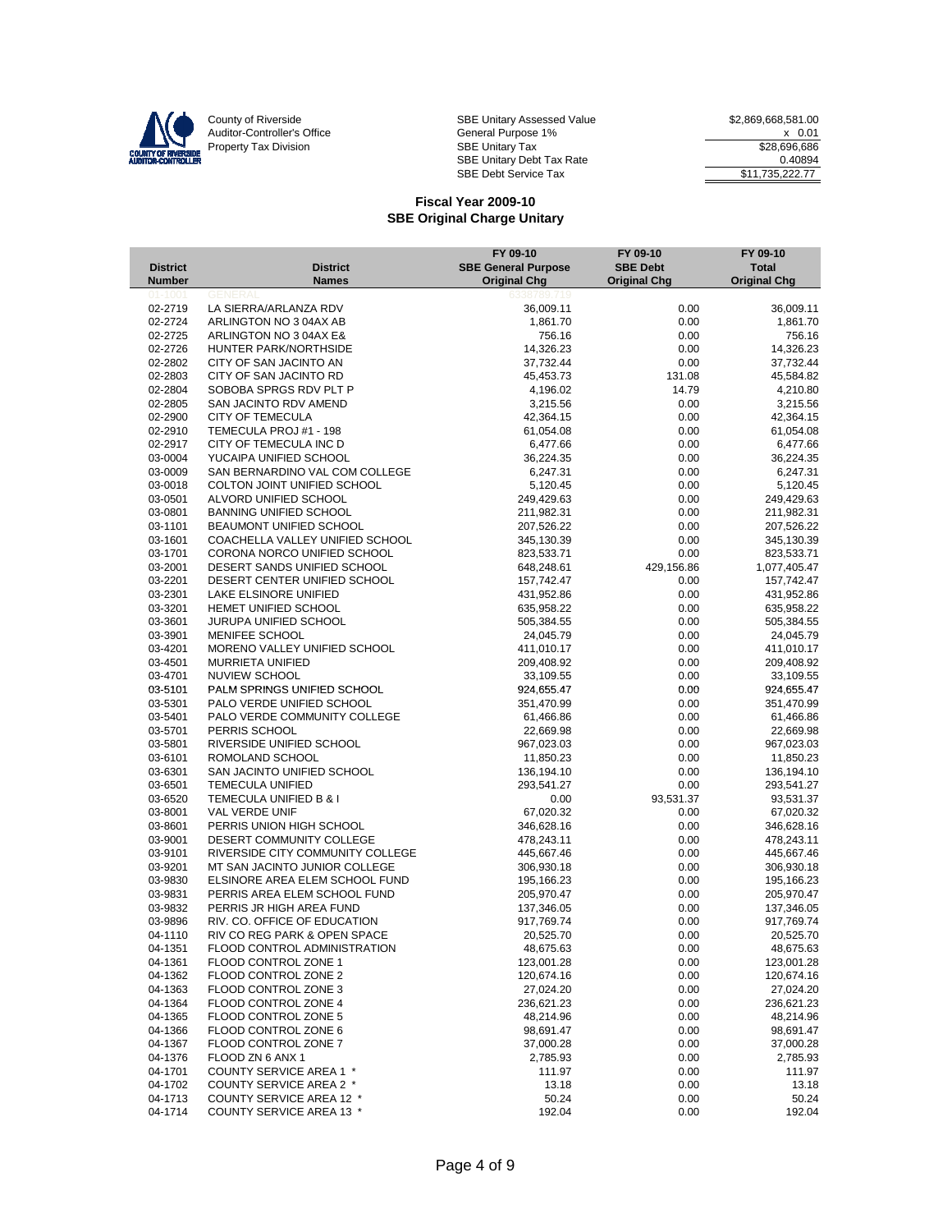

|                                  |                                                      | FY 09-10                                          | FY 09-10                               | FY 09-10                            |
|----------------------------------|------------------------------------------------------|---------------------------------------------------|----------------------------------------|-------------------------------------|
| <b>District</b><br><b>Number</b> | <b>District</b><br><b>Names</b>                      | <b>SBE General Purpose</b><br><b>Original Chg</b> | <b>SBE Debt</b><br><b>Original Chg</b> | <b>Total</b><br><b>Original Chg</b> |
| $01 - 100'$                      | <b>GENERAL</b>                                       | 6338789.719                                       |                                        |                                     |
| 02-2719                          | LA SIERRA/ARLANZA RDV                                | 36,009.11                                         | 0.00                                   | 36,009.11                           |
| 02-2724                          | ARLINGTON NO 3 04AX AB                               | 1,861.70                                          | 0.00                                   | 1,861.70                            |
| 02-2725                          | ARLINGTON NO 3 04AX E&                               | 756.16                                            | 0.00                                   | 756.16                              |
| 02-2726                          | HUNTER PARK/NORTHSIDE                                | 14,326.23                                         | 0.00                                   | 14,326.23                           |
| 02-2802                          | CITY OF SAN JACINTO AN                               | 37,732.44                                         | 0.00                                   | 37,732.44                           |
| 02-2803                          | CITY OF SAN JACINTO RD                               | 45,453.73                                         | 131.08                                 | 45,584.82                           |
| 02-2804                          | SOBOBA SPRGS RDV PLT P                               | 4,196.02                                          | 14.79                                  | 4,210.80                            |
| 02-2805                          | SAN JACINTO RDV AMEND                                | 3,215.56                                          | 0.00                                   | 3,215.56                            |
| 02-2900<br>02-2910               | <b>CITY OF TEMECULA</b>                              | 42,364.15                                         | 0.00                                   | 42,364.15                           |
| 02-2917                          | TEMECULA PROJ #1 - 198                               | 61,054.08<br>6,477.66                             | 0.00                                   | 61,054.08                           |
| 03-0004                          | CITY OF TEMECULA INC D<br>YUCAIPA UNIFIED SCHOOL     | 36,224.35                                         | 0.00<br>0.00                           | 6,477.66<br>36,224.35               |
| 03-0009                          | SAN BERNARDINO VAL COM COLLEGE                       | 6,247.31                                          | 0.00                                   | 6,247.31                            |
| 03-0018                          | COLTON JOINT UNIFIED SCHOOL                          | 5,120.45                                          | 0.00                                   | 5,120.45                            |
| 03-0501                          | ALVORD UNIFIED SCHOOL                                | 249,429.63                                        | 0.00                                   | 249,429.63                          |
| 03-0801                          | <b>BANNING UNIFIED SCHOOL</b>                        | 211,982.31                                        | 0.00                                   | 211,982.31                          |
| 03-1101                          | BEAUMONT UNIFIED SCHOOL                              | 207,526.22                                        | 0.00                                   | 207,526.22                          |
| 03-1601                          | COACHELLA VALLEY UNIFIED SCHOOL                      | 345,130.39                                        | 0.00                                   | 345,130.39                          |
| 03-1701                          | CORONA NORCO UNIFIED SCHOOL                          | 823,533.71                                        | 0.00                                   | 823,533.71                          |
| 03-2001                          | DESERT SANDS UNIFIED SCHOOL                          | 648,248.61                                        | 429,156.86                             | 1,077,405.47                        |
| 03-2201                          | DESERT CENTER UNIFIED SCHOOL                         | 157,742.47                                        | 0.00                                   | 157,742.47                          |
| 03-2301                          | LAKE ELSINORE UNIFIED                                | 431,952.86                                        | 0.00                                   | 431,952.86                          |
| 03-3201                          | HEMET UNIFIED SCHOOL                                 | 635,958.22                                        | 0.00                                   | 635,958.22                          |
| 03-3601                          | JURUPA UNIFIED SCHOOL                                | 505,384.55                                        | 0.00                                   | 505,384.55                          |
| 03-3901                          | MENIFEE SCHOOL                                       | 24,045.79                                         | 0.00                                   | 24,045.79                           |
| 03-4201                          | MORENO VALLEY UNIFIED SCHOOL                         | 411,010.17                                        | 0.00                                   | 411,010.17                          |
| 03-4501                          | <b>MURRIETA UNIFIED</b>                              | 209,408.92                                        | 0.00                                   | 209,408.92                          |
| 03-4701                          | NUVIEW SCHOOL                                        | 33,109.55                                         | 0.00                                   | 33,109.55                           |
| 03-5101                          | PALM SPRINGS UNIFIED SCHOOL                          | 924,655.47                                        | 0.00                                   | 924,655.47                          |
| 03-5301                          | PALO VERDE UNIFIED SCHOOL                            | 351,470.99                                        | 0.00                                   | 351,470.99                          |
| 03-5401                          | PALO VERDE COMMUNITY COLLEGE                         | 61,466.86                                         | 0.00                                   | 61,466.86                           |
| 03-5701                          | PERRIS SCHOOL                                        | 22,669.98                                         | 0.00                                   | 22,669.98                           |
| 03-5801                          | RIVERSIDE UNIFIED SCHOOL                             | 967,023.03                                        | 0.00                                   | 967,023.03                          |
| 03-6101                          | ROMOLAND SCHOOL                                      | 11,850.23                                         | 0.00                                   | 11,850.23                           |
| 03-6301                          | SAN JACINTO UNIFIED SCHOOL                           | 136,194.10                                        | 0.00                                   | 136,194.10                          |
| 03-6501<br>03-6520               | <b>TEMECULA UNIFIED</b>                              | 293,541.27                                        | 0.00                                   | 293,541.27                          |
| 03-8001                          | TEMECULA UNIFIED B & I<br>VAL VERDE UNIF             | 0.00<br>67,020.32                                 | 93,531.37<br>0.00                      | 93,531.37<br>67,020.32              |
| 03-8601                          | PERRIS UNION HIGH SCHOOL                             | 346,628.16                                        | 0.00                                   | 346,628.16                          |
| 03-9001                          | DESERT COMMUNITY COLLEGE                             | 478,243.11                                        | 0.00                                   | 478,243.11                          |
| 03-9101                          | RIVERSIDE CITY COMMUNITY COLLEGE                     | 445,667.46                                        | 0.00                                   | 445,667.46                          |
| 03-9201                          | MT SAN JACINTO JUNIOR COLLEGE                        | 306,930.18                                        | 0.00                                   | 306,930.18                          |
| 03-9830                          | ELSINORE AREA ELEM SCHOOL FUND                       | 195,166.23                                        | 0.00                                   | 195,166.23                          |
| 03-9831                          | PERRIS AREA ELEM SCHOOL FUND                         | 205,970.47                                        | 0.00                                   | 205,970.47                          |
| 03-9832                          | PERRIS JR HIGH AREA FUND                             | 137,346.05                                        | 0.00                                   | 137,346.05                          |
| 03-9896                          | RIV. CO. OFFICE OF EDUCATION                         | 917,769.74                                        | 0.00                                   | 917,769.74                          |
| 04-1110                          | RIV CO REG PARK & OPEN SPACE                         | 20,525.70                                         | 0.00                                   | 20,525.70                           |
| 04-1351                          | FLOOD CONTROL ADMINISTRATION                         | 48,675.63                                         | 0.00                                   | 48,675.63                           |
| 04-1361                          | FLOOD CONTROL ZONE 1                                 | 123,001.28                                        | 0.00                                   | 123,001.28                          |
| 04-1362                          | FLOOD CONTROL ZONE 2                                 | 120,674.16                                        | 0.00                                   | 120,674.16                          |
| 04-1363                          | FLOOD CONTROL ZONE 3                                 | 27,024.20                                         | 0.00                                   | 27,024.20                           |
| 04-1364                          | FLOOD CONTROL ZONE 4                                 | 236,621.23                                        | 0.00                                   | 236,621.23                          |
| 04-1365                          | FLOOD CONTROL ZONE 5                                 | 48,214.96                                         | 0.00                                   | 48,214.96                           |
| 04-1366                          | FLOOD CONTROL ZONE 6                                 | 98,691.47                                         | 0.00                                   | 98,691.47                           |
| 04-1367                          | FLOOD CONTROL ZONE 7                                 | 37,000.28                                         | 0.00                                   | 37,000.28                           |
| 04-1376                          | FLOOD ZN 6 ANX 1                                     | 2,785.93                                          | 0.00                                   | 2,785.93                            |
| 04-1701                          | COUNTY SERVICE AREA 1 *                              | 111.97                                            | 0.00                                   | 111.97                              |
| 04-1702                          | COUNTY SERVICE AREA 2 *                              | 13.18                                             | 0.00                                   | 13.18                               |
| 04-1713<br>04-1714               | COUNTY SERVICE AREA 12 *<br>COUNTY SERVICE AREA 13 * | 50.24                                             | 0.00                                   | 50.24                               |
|                                  |                                                      | 192.04                                            | 0.00                                   | 192.04                              |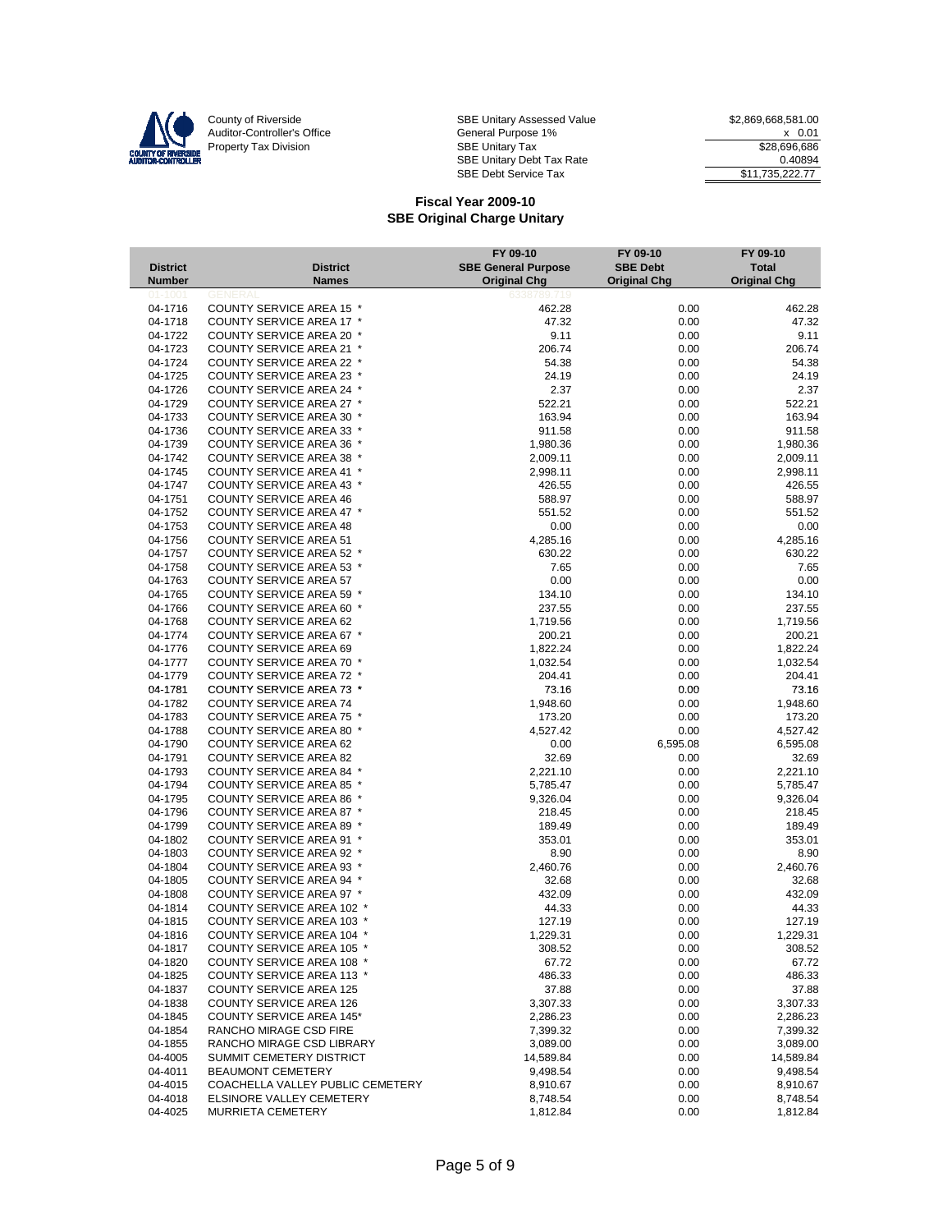

County of Riverside Same SBE Unitary Assessed Value 32,869,668,581.00 Auditor-Controller's Office **General Purpose 1%** X 0.01 Property Tax Division 686 Contract Tax SBE Unitary Tax 686 Contract Tax 528,696,686 SBE Unitary Debt Tax Rate 0.40894 SBE Debt Service Tax  $$11,735,222.77$ 

|                           |                                                                      | FY 09-10                                          | FY 09-10                               | FY 09-10                            |
|---------------------------|----------------------------------------------------------------------|---------------------------------------------------|----------------------------------------|-------------------------------------|
| <b>District</b><br>Number | <b>District</b><br><b>Names</b>                                      | <b>SBE General Purpose</b><br><b>Original Chg</b> | <b>SBE Debt</b><br><b>Original Chg</b> | <b>Total</b><br><b>Original Chg</b> |
| $01 - 1001$               | <b>GENERA</b>                                                        | 6338789.719                                       |                                        |                                     |
| 04-1716                   | COUNTY SERVICE AREA 15 *                                             | 462.28                                            | 0.00                                   | 462.28                              |
| 04-1718                   | COUNTY SERVICE AREA 17 *                                             | 47.32                                             | 0.00                                   | 47.32                               |
| 04-1722                   | <b>COUNTY SERVICE AREA 20 *</b>                                      | 9.11                                              | 0.00                                   | 9.11                                |
| 04-1723                   | COUNTY SERVICE AREA 21 *                                             | 206.74                                            | 0.00                                   | 206.74                              |
| 04-1724                   | <b>COUNTY SERVICE AREA 22 *</b>                                      | 54.38                                             | 0.00                                   | 54.38                               |
| 04-1725<br>04-1726        | <b>COUNTY SERVICE AREA 23 *</b><br><b>COUNTY SERVICE AREA 24 *</b>   | 24.19<br>2.37                                     | 0.00<br>0.00                           | 24.19<br>2.37                       |
| 04-1729                   | COUNTY SERVICE AREA 27 *                                             | 522.21                                            | 0.00                                   | 522.21                              |
| 04-1733                   | <b>COUNTY SERVICE AREA 30 *</b>                                      | 163.94                                            | 0.00                                   | 163.94                              |
| 04-1736                   | COUNTY SERVICE AREA 33 *                                             | 911.58                                            | 0.00                                   | 911.58                              |
| 04-1739                   | <b>COUNTY SERVICE AREA 36 *</b>                                      | 1,980.36                                          | 0.00                                   | 1,980.36                            |
| 04-1742                   | <b>COUNTY SERVICE AREA 38 *</b>                                      | 2,009.11                                          | 0.00                                   | 2,009.11                            |
| 04-1745                   | COUNTY SERVICE AREA 41 *                                             | 2,998.11                                          | 0.00                                   | 2,998.11                            |
| 04-1747                   | <b>COUNTY SERVICE AREA 43 *</b>                                      | 426.55                                            | 0.00                                   | 426.55                              |
| 04-1751                   | <b>COUNTY SERVICE AREA 46</b>                                        | 588.97                                            | 0.00                                   | 588.97                              |
| 04-1752                   | COUNTY SERVICE AREA 47 *                                             | 551.52                                            | 0.00                                   | 551.52                              |
| 04-1753                   | <b>COUNTY SERVICE AREA 48</b>                                        | 0.00                                              | 0.00                                   | 0.00                                |
| 04-1756                   | <b>COUNTY SERVICE AREA 51</b>                                        | 4,285.16                                          | 0.00                                   | 4,285.16                            |
| 04-1757                   | <b>COUNTY SERVICE AREA 52 *</b>                                      | 630.22                                            | 0.00                                   | 630.22                              |
| 04-1758                   | <b>COUNTY SERVICE AREA 53 *</b>                                      | 7.65                                              | 0.00                                   | 7.65                                |
| 04-1763                   | <b>COUNTY SERVICE AREA 57</b>                                        | 0.00                                              | 0.00                                   | 0.00                                |
| 04-1765                   | <b>COUNTY SERVICE AREA 59 *</b>                                      | 134.10                                            | 0.00                                   | 134.10                              |
| 04-1766                   | COUNTY SERVICE AREA 60 *                                             | 237.55                                            | 0.00                                   | 237.55                              |
| 04-1768                   | <b>COUNTY SERVICE AREA 62</b>                                        | 1,719.56                                          | 0.00                                   | 1,719.56                            |
| 04-1774                   | COUNTY SERVICE AREA 67 *                                             | 200.21                                            | 0.00                                   | 200.21                              |
| 04-1776                   | <b>COUNTY SERVICE AREA 69</b>                                        | 1,822.24                                          | 0.00                                   | 1,822.24                            |
| 04-1777                   | COUNTY SERVICE AREA 70 *                                             | 1,032.54                                          | 0.00                                   | 1,032.54                            |
| 04-1779<br>04-1781        | <b>COUNTY SERVICE AREA 72 *</b><br>COUNTY SERVICE AREA 73 *          | 204.41<br>73.16                                   | 0.00<br>0.00                           | 204.41<br>73.16                     |
| 04-1782                   | <b>COUNTY SERVICE AREA 74</b>                                        | 1,948.60                                          | 0.00                                   | 1,948.60                            |
| 04-1783                   | COUNTY SERVICE AREA 75 *                                             | 173.20                                            | 0.00                                   | 173.20                              |
| 04-1788                   | <b>COUNTY SERVICE AREA 80 *</b>                                      | 4,527.42                                          | 0.00                                   | 4,527.42                            |
| 04-1790                   | <b>COUNTY SERVICE AREA 62</b>                                        | 0.00                                              | 6,595.08                               | 6,595.08                            |
| 04-1791                   | <b>COUNTY SERVICE AREA 82</b>                                        | 32.69                                             | 0.00                                   | 32.69                               |
| 04-1793                   | COUNTY SERVICE AREA 84 *                                             | 2,221.10                                          | 0.00                                   | 2,221.10                            |
| 04-1794                   | <b>COUNTY SERVICE AREA 85 *</b>                                      | 5,785.47                                          | 0.00                                   | 5,785.47                            |
| 04-1795                   | COUNTY SERVICE AREA 86 *                                             | 9,326.04                                          | 0.00                                   | 9,326.04                            |
| 04-1796                   | <b>COUNTY SERVICE AREA 87 *</b>                                      | 218.45                                            | 0.00                                   | 218.45                              |
| 04-1799                   | <b>COUNTY SERVICE AREA 89 *</b>                                      | 189.49                                            | 0.00                                   | 189.49                              |
| 04-1802                   | <b>COUNTY SERVICE AREA 91 *</b>                                      | 353.01                                            | 0.00                                   | 353.01                              |
| 04-1803                   | COUNTY SERVICE AREA 92 *                                             | 8.90                                              | 0.00                                   | 8.90                                |
| 04-1804                   | <b>COUNTY SERVICE AREA 93 *</b>                                      | 2,460.76                                          | 0.00                                   | 2,460.76                            |
| 04-1805                   | COUNTY SERVICE AREA 94 *                                             | 32.68                                             | 0.00                                   | 32.68                               |
| 04-1808                   | COUNTY SERVICE AREA 97 *                                             | 432.09                                            | 0.00                                   | 432.09                              |
| 04-1814                   | <b>COUNTY SERVICE AREA 102 *</b>                                     | 44.33                                             | 0.00                                   | 44.33                               |
| 04-1815<br>04-1816        | <b>COUNTY SERVICE AREA 103 *</b><br><b>COUNTY SERVICE AREA 104 *</b> | 127.19<br>1,229.31                                | 0.00<br>0.00                           | 127.19<br>1,229.31                  |
| 04-1817                   | COUNTY SERVICE AREA 105                                              | 308.52                                            | 0.00                                   | 308.52                              |
| 04-1820                   | <b>COUNTY SERVICE AREA 108 *</b>                                     | 67.72                                             | 0.00                                   | 67.72                               |
| 04-1825                   | COUNTY SERVICE AREA 113 *                                            | 486.33                                            | 0.00                                   | 486.33                              |
| 04-1837                   | <b>COUNTY SERVICE AREA 125</b>                                       | 37.88                                             | 0.00                                   | 37.88                               |
| 04-1838                   | COUNTY SERVICE AREA 126                                              | 3,307.33                                          | 0.00                                   | 3,307.33                            |
| 04-1845                   | <b>COUNTY SERVICE AREA 145*</b>                                      | 2,286.23                                          | 0.00                                   | 2,286.23                            |
| 04-1854                   | RANCHO MIRAGE CSD FIRE                                               | 7,399.32                                          | 0.00                                   | 7,399.32                            |
| 04-1855                   | RANCHO MIRAGE CSD LIBRARY                                            | 3,089.00                                          | 0.00                                   | 3,089.00                            |
| 04-4005                   | SUMMIT CEMETERY DISTRICT                                             | 14,589.84                                         | 0.00                                   | 14,589.84                           |
| 04-4011                   | BEAUMONT CEMETERY                                                    | 9,498.54                                          | 0.00                                   | 9,498.54                            |
| 04-4015                   | COACHELLA VALLEY PUBLIC CEMETERY                                     | 8,910.67                                          | 0.00                                   | 8,910.67                            |
| 04-4018                   | ELSINORE VALLEY CEMETERY                                             | 8,748.54                                          | 0.00                                   | 8,748.54                            |
| 04-4025                   | MURRIETA CEMETERY                                                    | 1,812.84                                          | 0.00                                   | 1,812.84                            |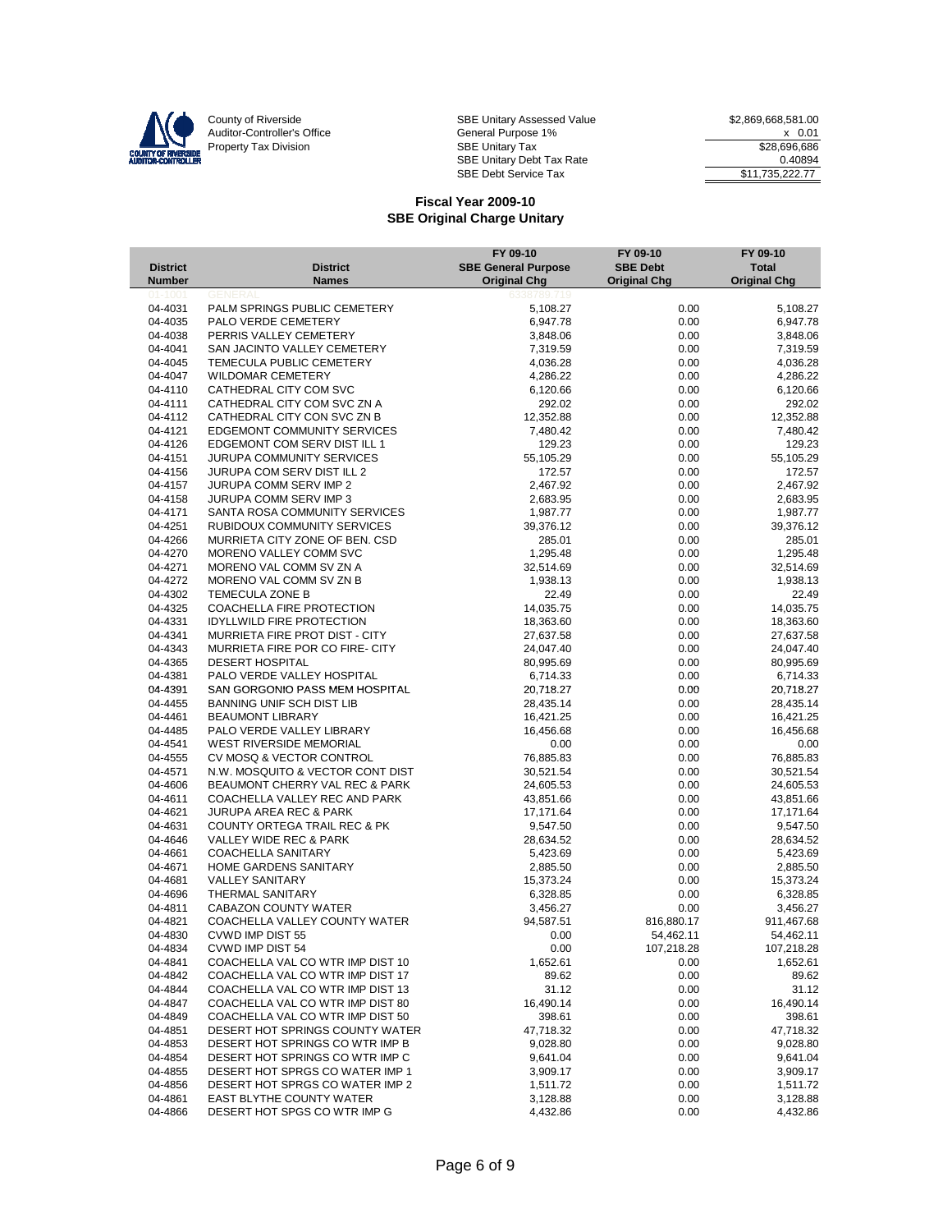

|                 |                                    | FY 09-10                   | FY 09-10            | FY 09-10            |
|-----------------|------------------------------------|----------------------------|---------------------|---------------------|
| <b>District</b> | <b>District</b>                    | <b>SBE General Purpose</b> | <b>SBE Debt</b>     | <b>Total</b>        |
| <b>Number</b>   | <b>Names</b>                       | <b>Original Chg</b>        | <b>Original Chg</b> | <b>Original Chg</b> |
| $01 - 1001$     | GENERA                             | 6338789                    |                     |                     |
| 04-4031         | PALM SPRINGS PUBLIC CEMETERY       | 5,108.27                   | 0.00                | 5,108.27            |
| 04-4035         | PALO VERDE CEMETERY                | 6,947.78                   | 0.00                | 6,947.78            |
| 04-4038         | PERRIS VALLEY CEMETERY             | 3,848.06                   | 0.00                | 3,848.06            |
| 04-4041         | SAN JACINTO VALLEY CEMETERY        | 7,319.59                   | 0.00                | 7,319.59            |
| 04-4045         | TEMECULA PUBLIC CEMETERY           | 4,036.28                   | 0.00                | 4,036.28            |
| 04-4047         | <b>WILDOMAR CEMETERY</b>           | 4,286.22                   | 0.00                | 4,286.22            |
| 04-4110         | CATHEDRAL CITY COM SVC             | 6,120.66                   | 0.00                | 6,120.66            |
| 04-4111         | CATHEDRAL CITY COM SVC ZN A        | 292.02                     | 0.00                | 292.02              |
| 04-4112         | CATHEDRAL CITY CON SVC ZN B        | 12,352.88                  | 0.00                | 12,352.88           |
| 04-4121         | <b>EDGEMONT COMMUNITY SERVICES</b> | 7,480.42                   | 0.00                | 7,480.42            |
| 04-4126         | EDGEMONT COM SERV DIST ILL 1       | 129.23                     | 0.00                | 129.23              |
| 04-4151         | <b>JURUPA COMMUNITY SERVICES</b>   | 55,105.29                  | 0.00                | 55,105.29           |
| 04-4156         | JURUPA COM SERV DIST ILL 2         | 172.57                     | 0.00                | 172.57              |
| 04-4157         | <b>JURUPA COMM SERV IMP 2</b>      | 2,467.92                   | 0.00                | 2,467.92            |
| 04-4158         | <b>JURUPA COMM SERV IMP 3</b>      | 2,683.95                   | 0.00                | 2,683.95            |
| 04-4171         | SANTA ROSA COMMUNITY SERVICES      | 1,987.77                   | 0.00                | 1,987.77            |
| 04-4251         | RUBIDOUX COMMUNITY SERVICES        | 39,376.12                  | 0.00                | 39,376.12           |
| 04-4266         | MURRIETA CITY ZONE OF BEN. CSD     | 285.01                     | 0.00                | 285.01              |
| 04-4270         | MORENO VALLEY COMM SVC             | 1,295.48                   | 0.00                | 1,295.48            |
| 04-4271         | MORENO VAL COMM SV ZN A            | 32,514.69                  | 0.00                | 32,514.69           |
| 04-4272         | MORENO VAL COMM SV ZN B            | 1,938.13                   | 0.00                | 1,938.13            |
| 04-4302         | TEMECULA ZONE B                    | 22.49                      | 0.00                | 22.49               |
| 04-4325         | COACHELLA FIRE PROTECTION          | 14,035.75                  | 0.00                | 14,035.75           |
| 04-4331         | <b>IDYLLWILD FIRE PROTECTION</b>   | 18,363.60                  | 0.00                | 18,363.60           |
| 04-4341         | MURRIETA FIRE PROT DIST - CITY     | 27,637.58                  | 0.00                | 27,637.58           |
| 04-4343         | MURRIETA FIRE POR CO FIRE- CITY    | 24,047.40                  | 0.00                | 24,047.40           |
| 04-4365         | <b>DESERT HOSPITAL</b>             | 80,995.69                  | 0.00                | 80,995.69           |
| 04-4381         | PALO VERDE VALLEY HOSPITAL         | 6,714.33                   | 0.00                | 6,714.33            |
| 04-4391         | SAN GORGONIO PASS MEM HOSPITAL     | 20,718.27                  | 0.00                | 20,718.27           |
| 04-4455         | BANNING UNIF SCH DIST LIB          | 28,435.14                  | 0.00                | 28,435.14           |
| 04-4461         | <b>BEAUMONT LIBRARY</b>            | 16,421.25                  | 0.00                | 16,421.25           |
| 04-4485         | PALO VERDE VALLEY LIBRARY          | 16,456.68                  | 0.00                | 16,456.68           |
| 04-4541         | <b>WEST RIVERSIDE MEMORIAL</b>     | 0.00                       | 0.00                | 0.00                |
| 04-4555         | CV MOSQ & VECTOR CONTROL           | 76,885.83                  | 0.00                | 76,885.83           |
| 04-4571         | N.W. MOSQUITO & VECTOR CONT DIST   | 30,521.54                  | 0.00                | 30,521.54           |
| 04-4606         | BEAUMONT CHERRY VAL REC & PARK     | 24,605.53                  | 0.00                | 24,605.53           |
| 04-4611         | COACHELLA VALLEY REC AND PARK      | 43,851.66                  | 0.00                | 43,851.66           |
| 04-4621         | <b>JURUPA AREA REC &amp; PARK</b>  | 17,171.64                  | 0.00                | 17,171.64           |
| 04-4631         | COUNTY ORTEGA TRAIL REC & PK       | 9,547.50                   | 0.00                | 9,547.50            |
| 04-4646         | VALLEY WIDE REC & PARK             | 28,634.52                  | 0.00                | 28,634.52           |
| 04-4661         | <b>COACHELLA SANITARY</b>          | 5,423.69                   | 0.00                | 5,423.69            |
| 04-4671         | HOME GARDENS SANITARY              | 2,885.50                   | 0.00                | 2,885.50            |
| 04-4681         | <b>VALLEY SANITARY</b>             | 15,373.24                  | 0.00                | 15,373.24           |
| 04-4696         | <b>THERMAL SANITARY</b>            | 6,328.85                   | 0.00                | 6,328.85            |
| 04-4811         | <b>CABAZON COUNTY WATER</b>        | 3,456.27                   | 0.00                | 3,456.27            |
| 04-4821         | COACHELLA VALLEY COUNTY WATER      | 94,587.51                  | 816,880.17          | 911,467.68          |
| 04-4830         | <b>CVWD IMP DIST 55</b>            | 0.00                       | 54,462.11           | 54,462.11           |
| 04-4834         | CVWD IMP DIST 54                   | 0.00                       | 107,218.28          | 107,218.28          |
| 04-4841         | COACHELLA VAL CO WTR IMP DIST 10   | 1,652.61                   | 0.00                | 1,652.61            |
| 04-4842         | COACHELLA VAL CO WTR IMP DIST 17   | 89.62                      | 0.00                | 89.62               |
| 04-4844         | COACHELLA VAL CO WTR IMP DIST 13   | 31.12                      | 0.00                | 31.12               |
| 04-4847         | COACHELLA VAL CO WTR IMP DIST 80   | 16,490.14                  | 0.00                | 16,490.14           |
| 04-4849         | COACHELLA VAL CO WTR IMP DIST 50   | 398.61                     | 0.00                | 398.61              |
| 04-4851         | DESERT HOT SPRINGS COUNTY WATER    | 47,718.32                  | 0.00                | 47,718.32           |
| 04-4853         | DESERT HOT SPRINGS CO WTR IMP B    | 9,028.80                   | 0.00                | 9,028.80            |
| 04-4854         | DESERT HOT SPRINGS CO WTR IMP C    | 9,641.04                   | 0.00                | 9,641.04            |
| 04-4855         | DESERT HOT SPRGS CO WATER IMP 1    | 3,909.17                   | 0.00                | 3,909.17            |
| 04-4856         | DESERT HOT SPRGS CO WATER IMP 2    | 1,511.72                   | 0.00                | 1,511.72            |
| 04-4861         | EAST BLYTHE COUNTY WATER           | 3,128.88                   | 0.00                | 3,128.88            |
| 04-4866         | DESERT HOT SPGS CO WTR IMP G       | 4,432.86                   | 0.00                | 4,432.86            |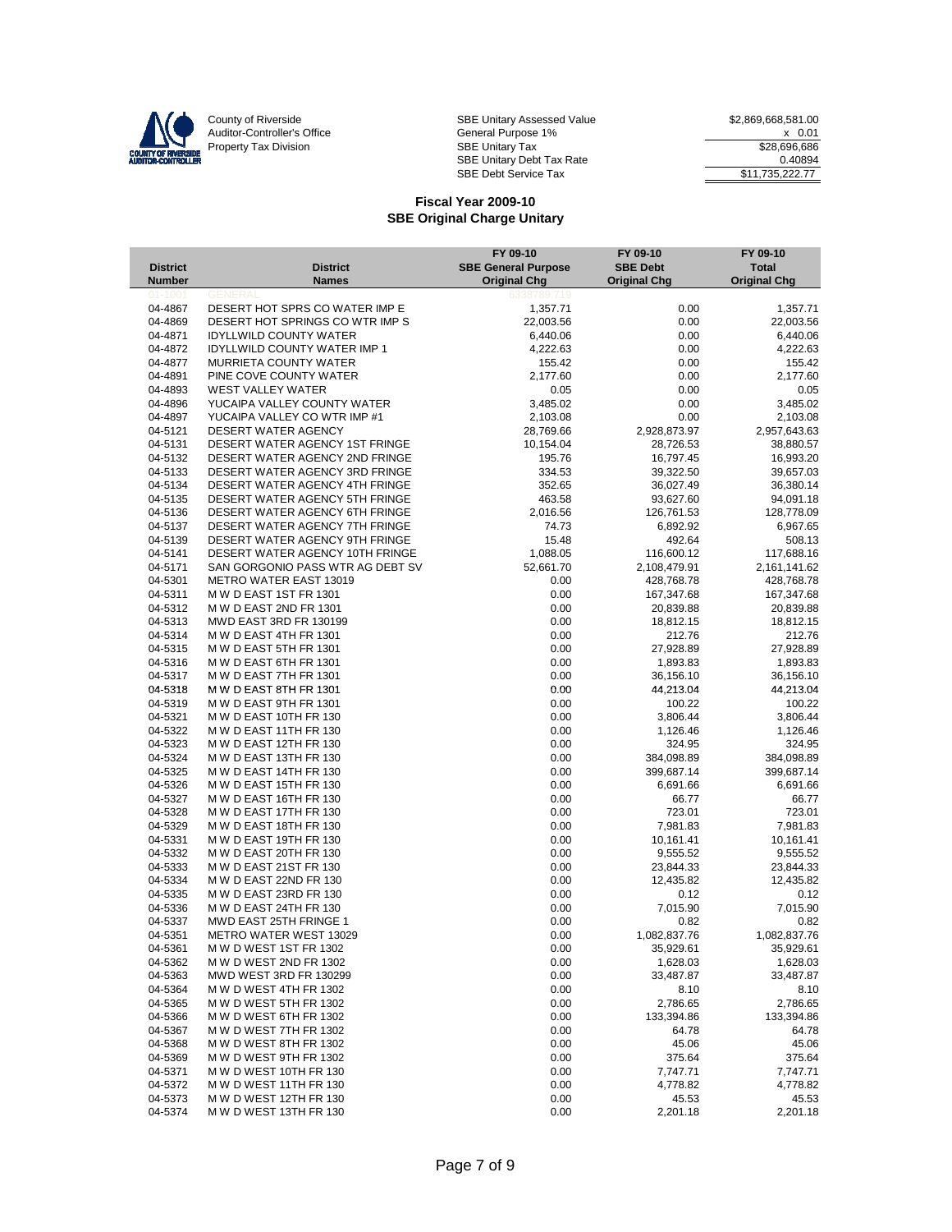

 $\overline{\phantom{a}}$ 

County of Riverside Same SBE Unitary Assessed Value 32,869,668,581.00 Auditor-Controller's Office **General Purpose 1%** X 0.01 Property Tax Division 686 Contract Tax SBE Unitary Tax 686 Contract Tax 528,696,686 SBE Unitary Debt Tax Rate 0.40894 SBE Debt Service Tax  $$11,735,222.77$ 

|                    |                                                              | FY 09-10                   | FY 09-10            | FY 09-10            |
|--------------------|--------------------------------------------------------------|----------------------------|---------------------|---------------------|
| <b>District</b>    | <b>District</b>                                              | <b>SBE General Purpose</b> | <b>SBE Debt</b>     | <b>Total</b>        |
| Number             | <b>Names</b>                                                 | <b>Original Chg</b>        | <b>Original Chg</b> | <b>Original Chg</b> |
|                    |                                                              |                            |                     |                     |
| 04-4867            | DESERT HOT SPRS CO WATER IMP E                               | 1,357.71                   | 0.00                | 1,357.71            |
| 04-4869            | DESERT HOT SPRINGS CO WTR IMP S                              | 22,003.56                  | 0.00                | 22,003.56           |
| 04-4871            | <b>IDYLLWILD COUNTY WATER</b>                                | 6,440.06                   | 0.00                | 6,440.06            |
| 04-4872<br>04-4877 | <b>IDYLLWILD COUNTY WATER IMP 1</b><br>MURRIETA COUNTY WATER | 4,222.63<br>155.42         | 0.00<br>0.00        | 4,222.63            |
| 04-4891            | PINE COVE COUNTY WATER                                       | 2,177.60                   | 0.00                | 155.42<br>2,177.60  |
| 04-4893            | <b>WEST VALLEY WATER</b>                                     | 0.05                       | 0.00                | 0.05                |
| 04-4896            | YUCAIPA VALLEY COUNTY WATER                                  | 3,485.02                   | 0.00                | 3,485.02            |
| 04-4897            | YUCAIPA VALLEY CO WTR IMP #1                                 | 2,103.08                   | 0.00                | 2,103.08            |
| 04-5121            | DESERT WATER AGENCY                                          | 28,769.66                  | 2,928,873.97        | 2,957,643.63        |
| 04-5131            | DESERT WATER AGENCY 1ST FRINGE                               | 10,154.04                  | 28,726.53           | 38,880.57           |
| 04-5132            | DESERT WATER AGENCY 2ND FRINGE                               | 195.76                     | 16,797.45           | 16,993.20           |
| 04-5133            | DESERT WATER AGENCY 3RD FRINGE                               | 334.53                     | 39,322.50           | 39,657.03           |
| 04-5134            | DESERT WATER AGENCY 4TH FRINGE                               | 352.65                     | 36,027.49           | 36,380.14           |
| 04-5135            | DESERT WATER AGENCY 5TH FRINGE                               | 463.58                     | 93,627.60           | 94,091.18           |
| 04-5136            | DESERT WATER AGENCY 6TH FRINGE                               | 2,016.56                   | 126,761.53          | 128,778.09          |
| 04-5137            | DESERT WATER AGENCY 7TH FRINGE                               | 74.73                      | 6,892.92            | 6,967.65            |
| 04-5139            | DESERT WATER AGENCY 9TH FRINGE                               | 15.48                      | 492.64              | 508.13              |
| 04-5141            | DESERT WATER AGENCY 10TH FRINGE                              | 1,088.05                   | 116,600.12          | 117,688.16          |
| 04-5171            | SAN GORGONIO PASS WTR AG DEBT SV                             | 52,661.70                  | 2,108,479.91        | 2,161,141.62        |
| 04-5301            | <b>METRO WATER EAST 13019</b>                                | 0.00                       | 428,768.78          | 428,768.78          |
| 04-5311            | M W D EAST 1ST FR 1301                                       | 0.00                       | 167,347.68          | 167,347.68          |
| 04-5312            | M W D EAST 2ND FR 1301                                       | 0.00                       | 20,839.88           | 20,839.88           |
| 04-5313            | MWD EAST 3RD FR 130199                                       | 0.00                       | 18,812.15           | 18,812.15           |
| 04-5314            | M W D EAST 4TH FR 1301                                       | 0.00                       | 212.76              | 212.76              |
| 04-5315            | M W D EAST 5TH FR 1301                                       | 0.00                       | 27,928.89           | 27,928.89           |
| 04-5316            | M W D EAST 6TH FR 1301                                       | 0.00                       | 1,893.83            | 1,893.83            |
| 04-5317            | M W D EAST 7TH FR 1301                                       | 0.00                       | 36,156.10           | 36,156.10           |
| 04-5318            | M W D EAST 8TH FR 1301                                       | 0.00                       | 44,213.04           | 44,213.04           |
| 04-5319            | M W D EAST 9TH FR 1301                                       | 0.00                       | 100.22              | 100.22              |
| 04-5321            | M W D EAST 10TH FR 130                                       | 0.00                       | 3,806.44            | 3,806.44            |
| 04-5322            | M W D EAST 11TH FR 130                                       | 0.00                       | 1,126.46            | 1,126.46            |
| 04-5323            | M W D EAST 12TH FR 130                                       | 0.00                       | 324.95              | 324.95              |
| 04-5324            | M W D EAST 13TH FR 130                                       | 0.00                       | 384,098.89          | 384,098.89          |
| 04-5325            | M W D EAST 14TH FR 130                                       | 0.00                       | 399,687.14          | 399,687.14          |
| 04-5326            | M W D EAST 15TH FR 130                                       | 0.00                       | 6,691.66            | 6,691.66            |
| 04-5327<br>04-5328 | M W D EAST 16TH FR 130<br>M W D EAST 17TH FR 130             | 0.00<br>0.00               | 66.77<br>723.01     | 66.77<br>723.01     |
| 04-5329            | M W D EAST 18TH FR 130                                       | 0.00                       | 7,981.83            | 7,981.83            |
| 04-5331            | M W D EAST 19TH FR 130                                       | 0.00                       | 10,161.41           | 10,161.41           |
| 04-5332            | M W D EAST 20TH FR 130                                       | 0.00                       | 9,555.52            | 9,555.52            |
| 04-5333            | M W D EAST 21ST FR 130                                       | 0.00                       | 23,844.33           | 23,844.33           |
| 04-5334            | M W D EAST 22ND FR 130                                       | 0.00                       | 12,435.82           | 12,435.82           |
| 04-5335            | M W D EAST 23RD FR 130                                       | 0.00                       | 0.12                | 0.12                |
| 04-5336            | M W D EAST 24TH FR 130                                       | 0.00                       | 7,015.90            | 7,015.90            |
| 04-5337            | MWD EAST 25TH FRINGE 1                                       | 0.00                       | 0.82                | 0.82                |
| 04-5351            | <b>METRO WATER WEST 13029</b>                                | 0.00                       | 1,082,837.76        | 1,082,837.76        |
| 04-5361            | M W D WEST 1ST FR 1302                                       | 0.00                       | 35,929.61           | 35,929.61           |
| 04-5362            | M W D WEST 2ND FR 1302                                       | 0.00                       | 1,628.03            | 1,628.03            |
| 04-5363            | MWD WEST 3RD FR 130299                                       | 0.00                       | 33,487.87           | 33,487.87           |
| 04-5364            | M W D WEST 4TH FR 1302                                       | 0.00                       | 8.10                | 8.10                |
| 04-5365            | M W D WEST 5TH FR 1302                                       | 0.00                       | 2,786.65            | 2,786.65            |
| 04-5366            | M W D WEST 6TH FR 1302                                       | 0.00                       | 133,394.86          | 133,394.86          |
| 04-5367            | M W D WEST 7TH FR 1302                                       | 0.00                       | 64.78               | 64.78               |
| 04-5368            | M W D WEST 8TH FR 1302                                       | 0.00                       | 45.06               | 45.06               |
| 04-5369            | M W D WEST 9TH FR 1302                                       | 0.00                       | 375.64              | 375.64              |
| 04-5371            | M W D WEST 10TH FR 130                                       | 0.00                       | 7,747.71            | 7,747.71            |
| 04-5372            | M W D WEST 11TH FR 130                                       | 0.00                       | 4,778.82            | 4,778.82            |
| 04-5373            | M W D WEST 12TH FR 130                                       | 0.00                       | 45.53               | 45.53               |
| 04-5374            | M W D WEST 13TH FR 130                                       | 0.00                       | 2,201.18            | 2,201.18            |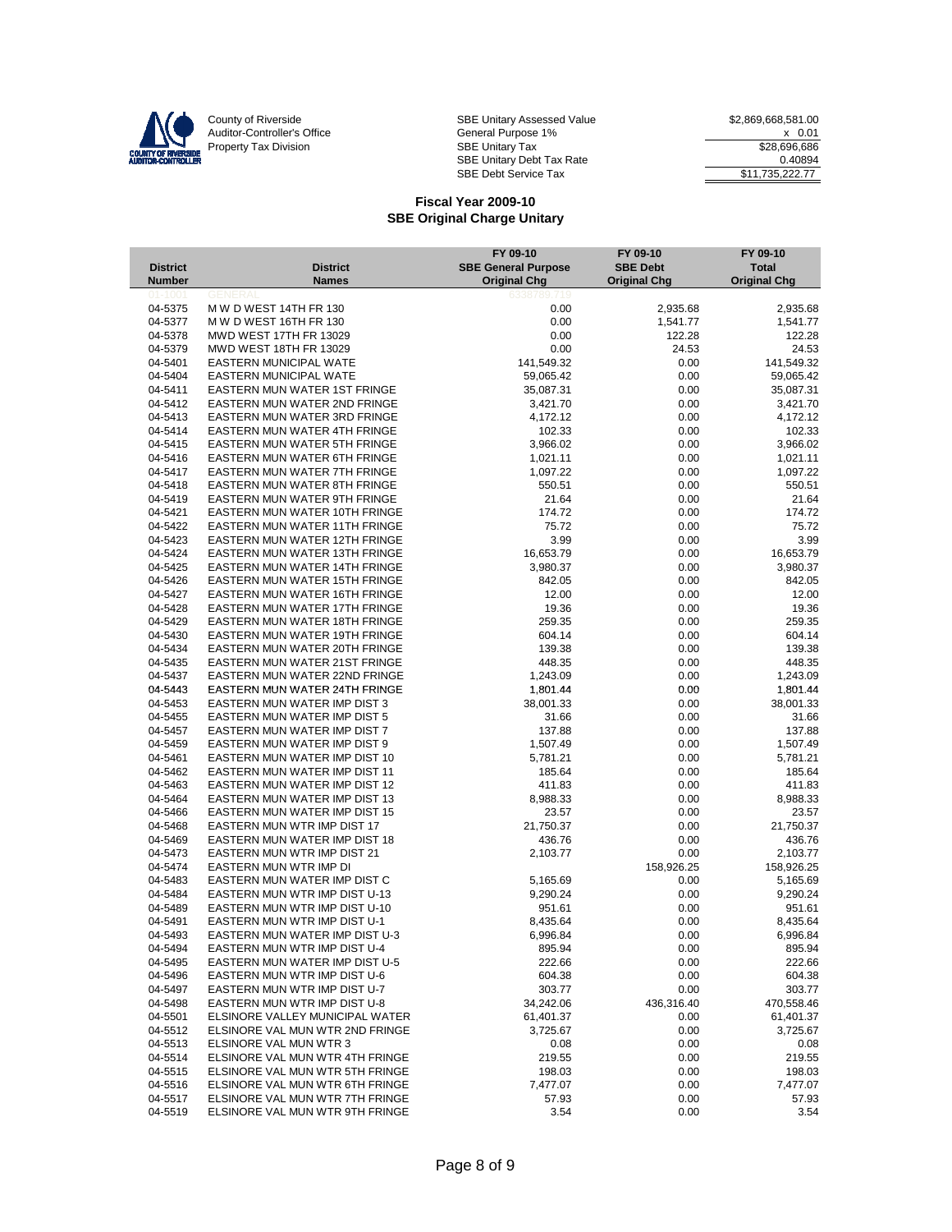

County of Riverside Same SBE Unitary Assessed Value 32,869,668,581.00 Auditor-Controller's Office **General Purpose 1%** X 0.01 Property Tax Division 686 Contract Tax SBE Unitary Tax 686 Contract Tax 528,696,686 SBE Unitary Debt Tax Rate 0.40894 SBE Debt Service Tax  $$11,735,222.77$ 

| <b>District</b>    | <b>District</b>                                                       | FY 09-10<br><b>SBE General Purpose</b> | FY 09-10<br><b>SBE Debt</b> | FY 09-10<br><b>Total</b> |
|--------------------|-----------------------------------------------------------------------|----------------------------------------|-----------------------------|--------------------------|
| Number             | <b>Names</b>                                                          | <b>Original Chg</b>                    | <b>Original Chg</b>         | <b>Original Chg</b>      |
| $01 - 1001$        | <b>GENERAI</b>                                                        | 6338789.<br>719                        |                             |                          |
| 04-5375            | M W D WEST 14TH FR 130                                                | 0.00                                   | 2,935.68                    | 2,935.68                 |
| 04-5377            | M W D WEST 16TH FR 130                                                | 0.00                                   | 1,541.77                    | 1,541.77                 |
| 04-5378<br>04-5379 | MWD WEST 17TH FR 13029<br>MWD WEST 18TH FR 13029                      | 0.00<br>0.00                           | 122.28<br>24.53             | 122.28<br>24.53          |
| 04-5401            | EASTERN MUNICIPAL WATE                                                | 141,549.32                             | 0.00                        | 141,549.32               |
| 04-5404            | EASTERN MUNICIPAL WATE                                                | 59,065.42                              | 0.00                        | 59,065.42                |
| 04-5411            | EASTERN MUN WATER 1ST FRINGE                                          | 35,087.31                              | 0.00                        | 35,087.31                |
| 04-5412            | <b>EASTERN MUN WATER 2ND FRINGE</b>                                   | 3,421.70                               | 0.00                        | 3,421.70                 |
| 04-5413            | <b>EASTERN MUN WATER 3RD FRINGE</b>                                   | 4,172.12                               | 0.00                        | 4,172.12                 |
| 04-5414            | EASTERN MUN WATER 4TH FRINGE                                          | 102.33                                 | 0.00                        | 102.33                   |
| 04-5415            | EASTERN MUN WATER 5TH FRINGE                                          | 3,966.02                               | 0.00                        | 3,966.02                 |
| 04-5416            | EASTERN MUN WATER 6TH FRINGE                                          | 1,021.11                               | 0.00                        | 1,021.11                 |
| 04-5417            | EASTERN MUN WATER 7TH FRINGE                                          | 1,097.22                               | 0.00                        | 1,097.22                 |
| 04-5418            | EASTERN MUN WATER 8TH FRINGE                                          | 550.51                                 | 0.00                        | 550.51                   |
| 04-5419            | EASTERN MUN WATER 9TH FRINGE                                          | 21.64                                  | 0.00                        | 21.64                    |
| 04-5421            | EASTERN MUN WATER 10TH FRINGE                                         | 174.72                                 | 0.00                        | 174.72                   |
| 04-5422            | <b>EASTERN MUN WATER 11TH FRINGE</b>                                  | 75.72                                  | 0.00                        | 75.72                    |
| 04-5423            | EASTERN MUN WATER 12TH FRINGE                                         | 3.99                                   | 0.00                        | 3.99                     |
| 04-5424            | <b>EASTERN MUN WATER 13TH FRINGE</b>                                  | 16,653.79                              | 0.00                        | 16,653.79                |
| 04-5425            | <b>EASTERN MUN WATER 14TH FRINGE</b>                                  | 3,980.37                               | 0.00                        | 3,980.37                 |
| 04-5426<br>04-5427 | EASTERN MUN WATER 15TH FRINGE<br><b>EASTERN MUN WATER 16TH FRINGE</b> | 842.05                                 | 0.00                        | 842.05                   |
| 04-5428            | EASTERN MUN WATER 17TH FRINGE                                         | 12.00<br>19.36                         | 0.00<br>0.00                | 12.00<br>19.36           |
| 04-5429            | EASTERN MUN WATER 18TH FRINGE                                         | 259.35                                 | 0.00                        | 259.35                   |
| 04-5430            | <b>EASTERN MUN WATER 19TH FRINGE</b>                                  | 604.14                                 | 0.00                        | 604.14                   |
| 04-5434            | EASTERN MUN WATER 20TH FRINGE                                         | 139.38                                 | 0.00                        | 139.38                   |
| 04-5435            | EASTERN MUN WATER 21ST FRINGE                                         | 448.35                                 | 0.00                        | 448.35                   |
| 04-5437            | EASTERN MUN WATER 22ND FRINGE                                         | 1,243.09                               | 0.00                        | 1,243.09                 |
| 04-5443            | EASTERN MUN WATER 24TH FRINGE                                         | 1,801.44                               | 0.00                        | 1,801.44                 |
| 04-5453            | EASTERN MUN WATER IMP DIST 3                                          | 38,001.33                              | 0.00                        | 38,001.33                |
| 04-5455            | EASTERN MUN WATER IMP DIST 5                                          | 31.66                                  | 0.00                        | 31.66                    |
| 04-5457            | EASTERN MUN WATER IMP DIST 7                                          | 137.88                                 | 0.00                        | 137.88                   |
| 04-5459            | EASTERN MUN WATER IMP DIST 9                                          | 1,507.49                               | 0.00                        | 1,507.49                 |
| 04-5461            | EASTERN MUN WATER IMP DIST 10                                         | 5,781.21                               | 0.00                        | 5,781.21                 |
| 04-5462            | EASTERN MUN WATER IMP DIST 11                                         | 185.64                                 | 0.00                        | 185.64                   |
| 04-5463            | EASTERN MUN WATER IMP DIST 12                                         | 411.83                                 | 0.00                        | 411.83                   |
| 04-5464            | EASTERN MUN WATER IMP DIST 13                                         | 8,988.33                               | 0.00                        | 8,988.33                 |
| 04-5466            | EASTERN MUN WATER IMP DIST 15                                         | 23.57                                  | 0.00                        | 23.57                    |
| 04-5468<br>04-5469 | EASTERN MUN WTR IMP DIST 17<br>EASTERN MUN WATER IMP DIST 18          | 21,750.37<br>436.76                    | 0.00<br>0.00                | 21,750.37<br>436.76      |
| 04-5473            | EASTERN MUN WTR IMP DIST 21                                           | 2,103.77                               | 0.00                        | 2,103.77                 |
| 04-5474            | EASTERN MUN WTR IMP DI                                                |                                        | 158,926.25                  | 158,926.25               |
| 04-5483            | EASTERN MUN WATER IMP DIST C                                          | 5,165.69                               | 0.00                        | 5,165.69                 |
| 04-5484            | EASTERN MUN WTR IMP DIST U-13                                         | 9,290.24                               | 0.00                        | 9,290.24                 |
| 04-5489            | EASTERN MUN WTR IMP DIST U-10                                         | 951.61                                 | 0.00                        | 951.61                   |
| 04-5491            | EASTERN MUN WTR IMP DIST U-1                                          | 8,435.64                               | 0.00                        | 8,435.64                 |
| 04-5493            | EASTERN MUN WATER IMP DIST U-3                                        | 6,996.84                               | 0.00                        | 6,996.84                 |
| 04-5494            | EASTERN MUN WTR IMP DIST U-4                                          | 895.94                                 | 0.00                        | 895.94                   |
| 04-5495            | EASTERN MUN WATER IMP DIST U-5                                        | 222.66                                 | 0.00                        | 222.66                   |
| 04-5496            | EASTERN MUN WTR IMP DIST U-6                                          | 604.38                                 | 0.00                        | 604.38                   |
| 04-5497            | EASTERN MUN WTR IMP DIST U-7                                          | 303.77                                 | 0.00                        | 303.77                   |
| 04-5498            | EASTERN MUN WTR IMP DIST U-8                                          | 34,242.06                              | 436,316.40                  | 470,558.46               |
| 04-5501            | ELSINORE VALLEY MUNICIPAL WATER                                       | 61,401.37                              | 0.00                        | 61,401.37                |
| 04-5512            | ELSINORE VAL MUN WTR 2ND FRINGE                                       | 3,725.67                               | 0.00                        | 3,725.67                 |
| 04-5513<br>04-5514 | ELSINORE VAL MUN WTR 3<br>ELSINORE VAL MUN WTR 4TH FRINGE             | 0.08<br>219.55                         | 0.00                        | 0.08                     |
| 04-5515            | ELSINORE VAL MUN WTR 5TH FRINGE                                       | 198.03                                 | 0.00<br>0.00                | 219.55<br>198.03         |
| 04-5516            | ELSINORE VAL MUN WTR 6TH FRINGE                                       | 7,477.07                               | 0.00                        | 7,477.07                 |
| 04-5517            | ELSINORE VAL MUN WTR 7TH FRINGE                                       | 57.93                                  | 0.00                        | 57.93                    |
| 04-5519            | ELSINORE VAL MUN WTR 9TH FRINGE                                       | 3.54                                   | 0.00                        | 3.54                     |
|                    |                                                                       |                                        |                             |                          |